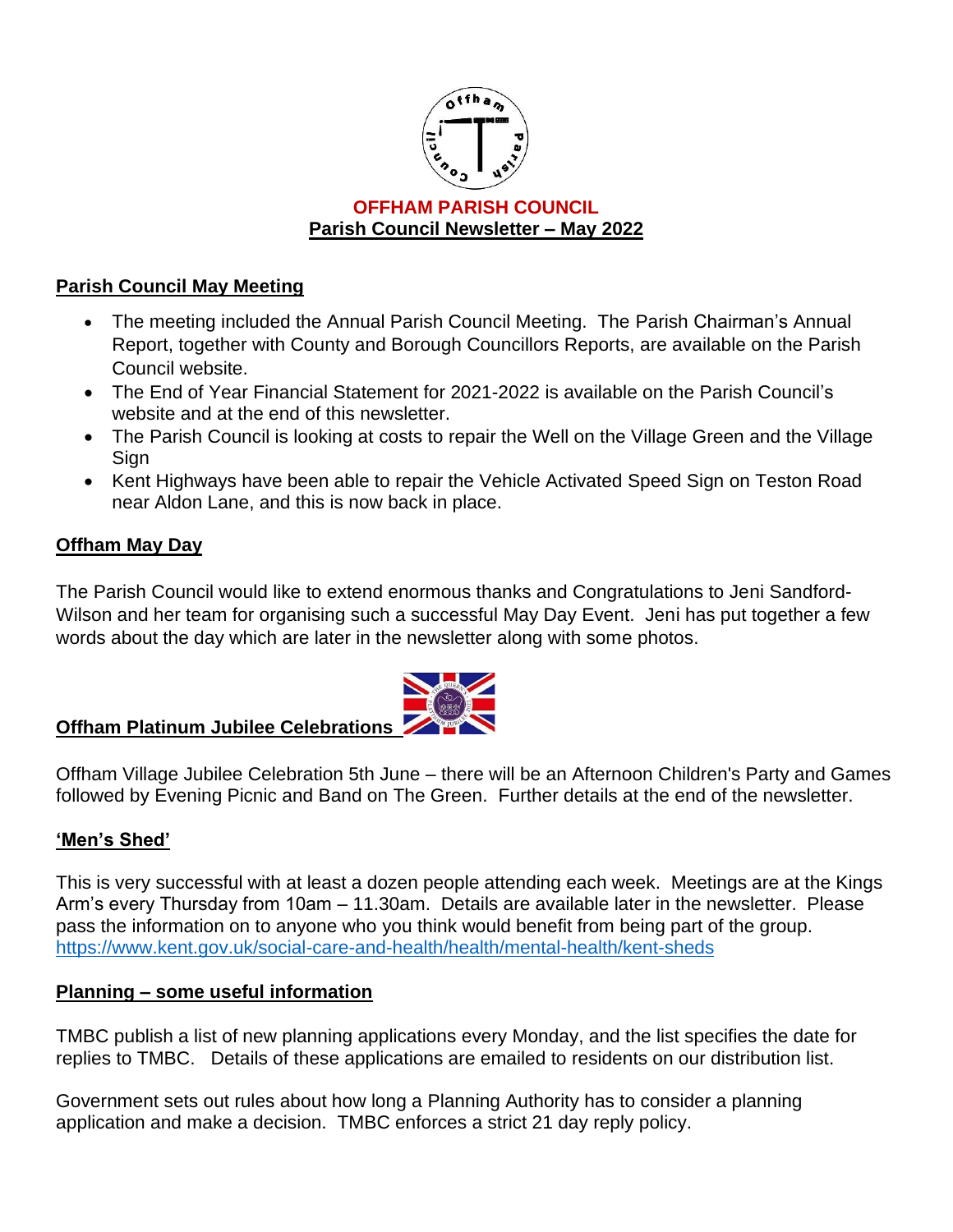

#### **Parish Council May Meeting**

- The meeting included the Annual Parish Council Meeting. The Parish Chairman's Annual Report, together with County and Borough Councillors Reports, are available on the Parish Council website.
- The End of Year Financial Statement for 2021-2022 is available on the Parish Council's website and at the end of this newsletter.
- The Parish Council is looking at costs to repair the Well on the Village Green and the Village Sign
- Kent Highways have been able to repair the Vehicle Activated Speed Sign on Teston Road near Aldon Lane, and this is now back in place.

#### **Offham May Day**

The Parish Council would like to extend enormous thanks and Congratulations to Jeni Sandford-Wilson and her team for organising such a successful May Day Event. Jeni has put together a few words about the day which are later in the newsletter along with some photos.

#### **Offham Platinum Jubilee Celebrations**

Offham Village Jubilee Celebration 5th June – there will be an Afternoon Children's Party and Games followed by Evening Picnic and Band on The Green. Further details at the end of the newsletter.

#### **'Men's Shed'**

This is very successful with at least a dozen people attending each week. Meetings are at the Kings Arm's every Thursday from 10am – 11.30am. Details are available later in the newsletter. Please pass the information on to anyone who you think would benefit from being part of the group. <https://www.kent.gov.uk/social-care-and-health/health/mental-health/kent-sheds>

#### **Planning – some useful information**

TMBC publish a list of new planning applications every Monday, and the list specifies the date for replies to TMBC. Details of these applications are emailed to residents on our distribution list.

Government sets out rules about how long a Planning Authority has to consider a planning application and make a decision. TMBC enforces a strict 21 day reply policy.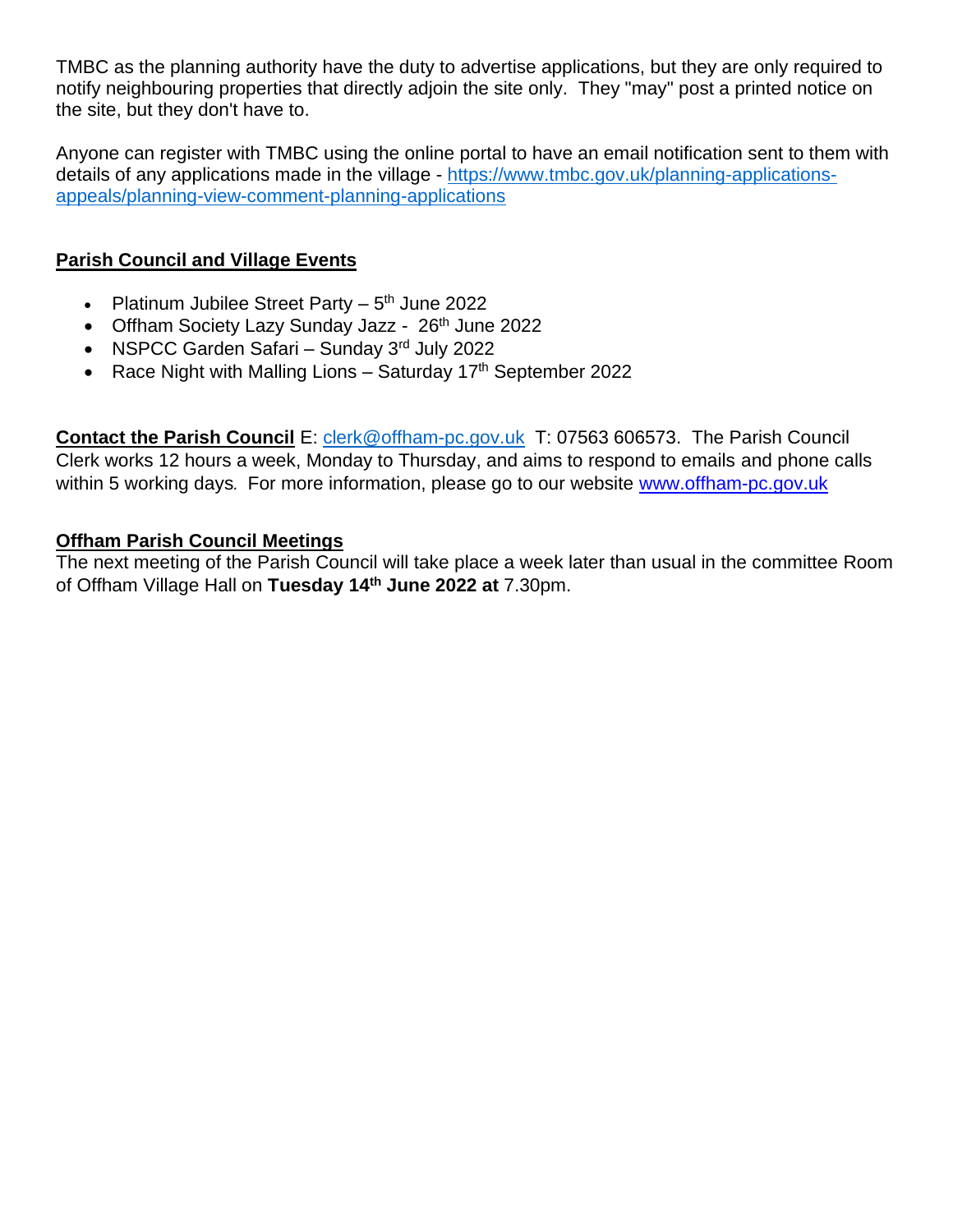TMBC as the planning authority have the duty to advertise applications, but they are only required to notify neighbouring properties that directly adjoin the site only. They "may" post a printed notice on the site, but they don't have to.

Anyone can register with TMBC using the online portal to have an email notification sent to them with details of any applications made in the village - [https://www.tmbc.gov.uk/planning-applications](https://www.tmbc.gov.uk/planning-applications-appeals/planning-view-comment-planning-applications)[appeals/planning-view-comment-planning-applications](https://www.tmbc.gov.uk/planning-applications-appeals/planning-view-comment-planning-applications) 

#### **Parish Council and Village Events**

- Platinum Jubilee Street Party  $-5<sup>th</sup>$  June 2022
- Offham Society Lazy Sunday Jazz 26<sup>th</sup> June 2022
- NSPCC Garden Safari Sunday 3<sup>rd</sup> July 2022
- Race Night with Malling Lions Saturday  $17<sup>th</sup>$  September 2022

**Contact the Parish Council** E: [clerk@offham-pc.gov.uk](mailto:clerk@offham-pc.gov.uk) T: 07563 606573. The Parish Council Clerk works 12 hours a week, Monday to Thursday, and aims to respond to emails and phone calls within 5 working days*.* For more information, please go to our website [www.offham-pc.gov.uk](http://www.offham-pc.gov.uk/)

#### **Offham Parish Council Meetings**

The next meeting of the Parish Council will take place a week later than usual in the committee Room of Offham Village Hall on **Tuesday 14th June 2022 at** 7.30pm.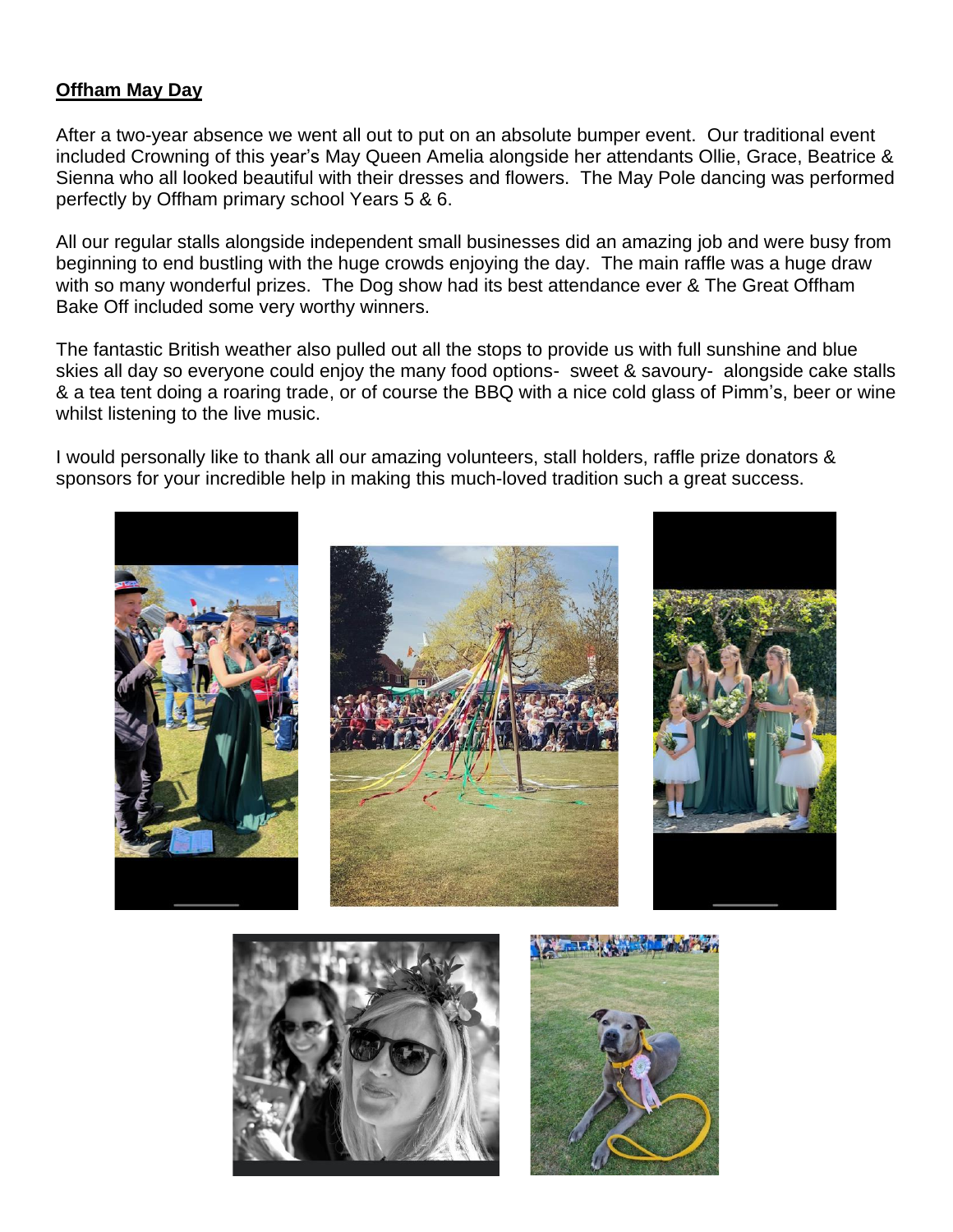#### **Offham May Day**

After a two-year absence we went all out to put on an absolute bumper event. Our traditional event included Crowning of this year's May Queen Amelia alongside her attendants Ollie, Grace, Beatrice & Sienna who all looked beautiful with their dresses and flowers. The May Pole dancing was performed perfectly by Offham primary school Years 5 & 6.

All our regular stalls alongside independent small businesses did an amazing job and were busy from beginning to end bustling with the huge crowds enjoying the day. The main raffle was a huge draw with so many wonderful prizes. The Dog show had its best attendance ever & The Great Offham Bake Off included some very worthy winners.

The fantastic British weather also pulled out all the stops to provide us with full sunshine and blue skies all day so everyone could enjoy the many food options- sweet & savoury- alongside cake stalls & a tea tent doing a roaring trade, or of course the BBQ with a nice cold glass of Pimm's, beer or wine whilst listening to the live music.

I would personally like to thank all our amazing volunteers, stall holders, raffle prize donators & sponsors for your incredible help in making this much-loved tradition such a great success.



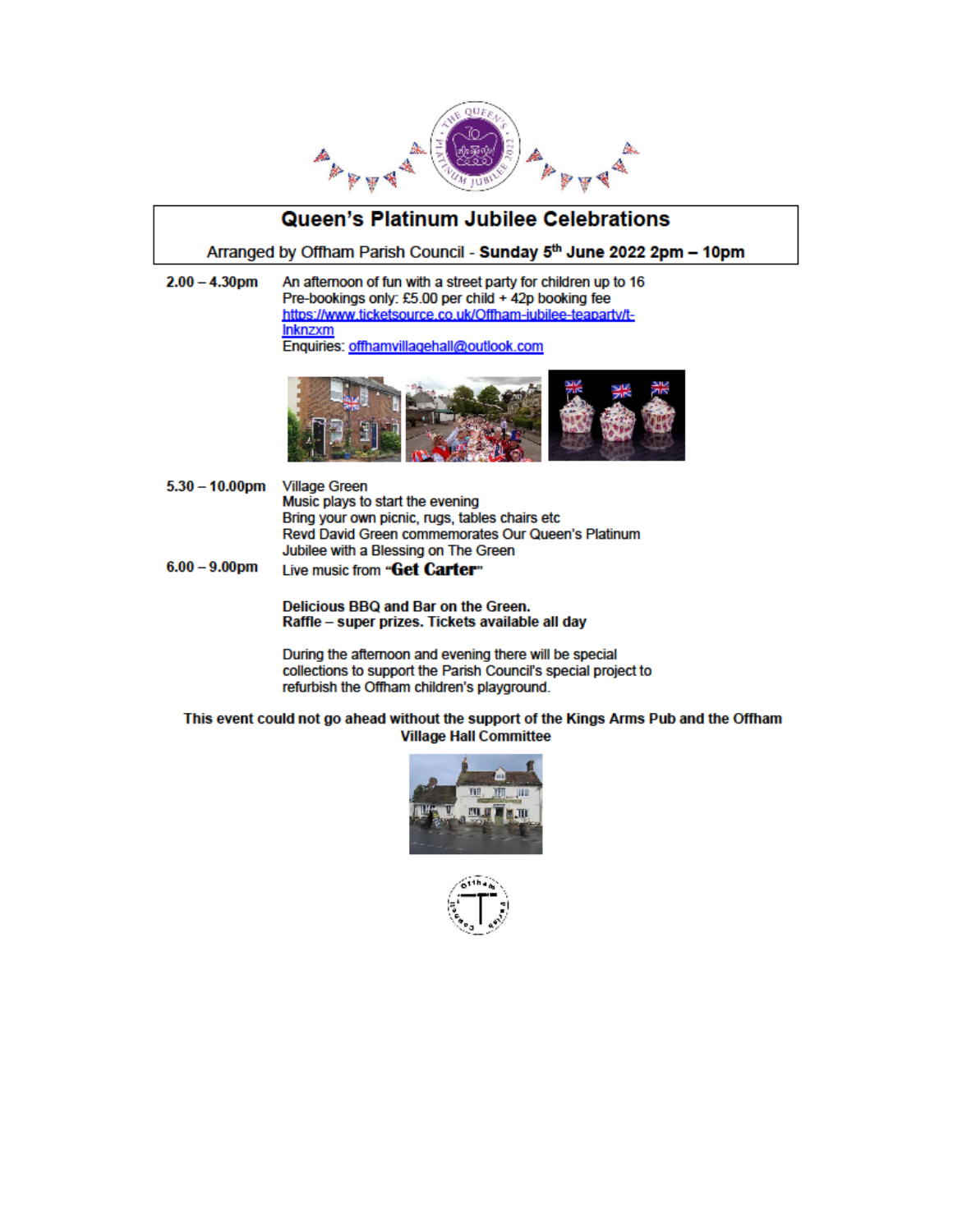

#### Queen's Platinum Jubilee Celebrations

#### Arranged by Offham Parish Council - Sunday 5<sup>th</sup> June 2022 2pm - 10pm

 $2.00 - 4.30$ pm An afternoon of fun with a street party for children up to 16 Pre-bookings only: £5.00 per child + 42p booking fee https://www.ticketsource.co.uk/Offham-iubilee-teaparty/t-**Inknzxm** Enquiries: offhamvillagehall@outlook.com



- $5.30 10.00$ pm **Village Green** Music plays to start the evening Bring your own picnic, rugs, tables chairs etc Revd David Green commemorates Our Queen's Platinum Jubilee with a Blessing on The Green
- $6.00 9.00$ pm Live music from "Get Carter"

Delicious BBQ and Bar on the Green. Raffle - super prizes. Tickets available all day

During the afternoon and evening there will be special collections to support the Parish Council's special project to refurbish the Offham children's playground.

This event could not go ahead without the support of the Kings Arms Pub and the Offham **Village Hall Committee** 



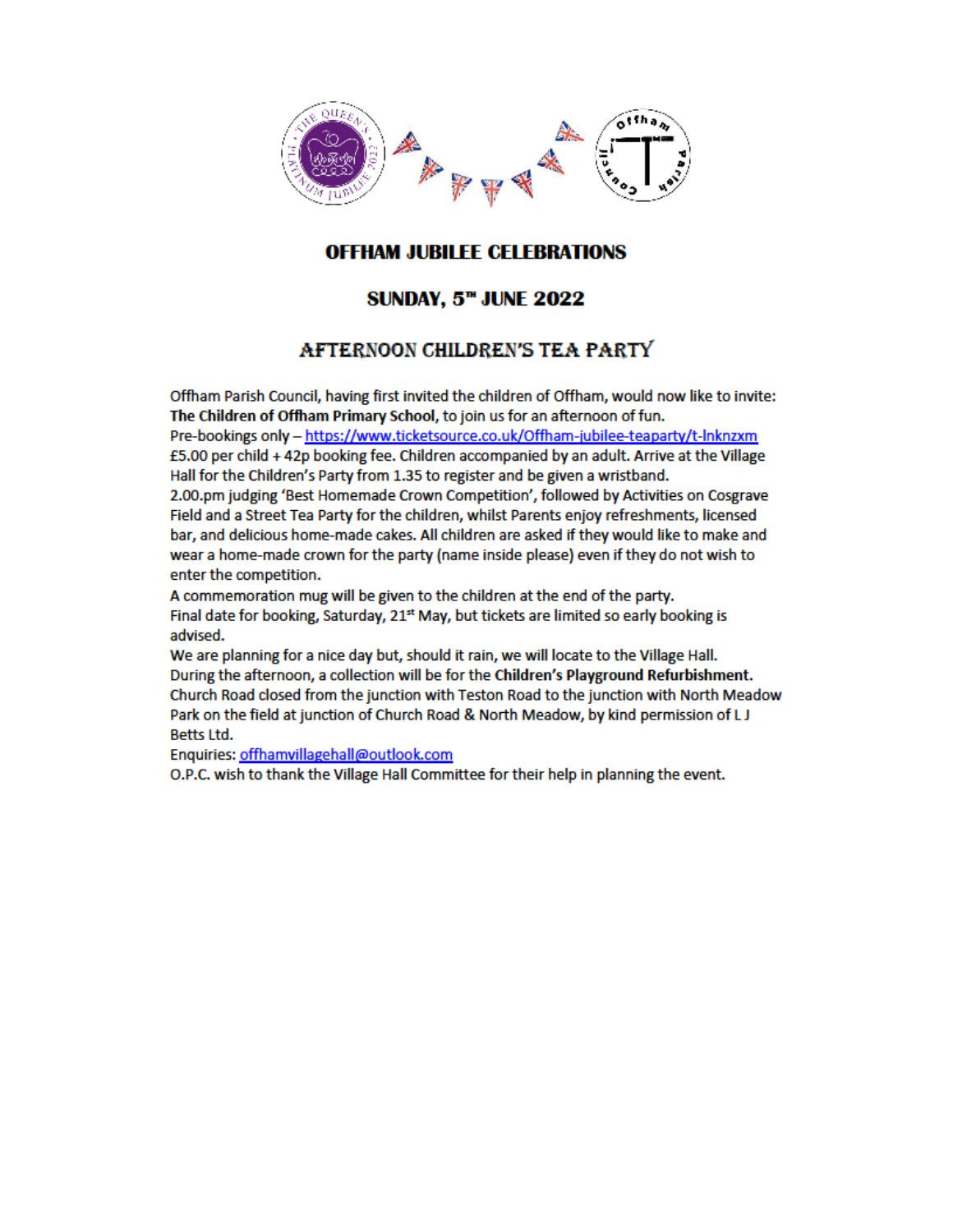

#### **OFFHAM JUBILEE CELEBRATIONS**

#### **SUNDAY, 5<sup>™</sup> JUNE 2022**

#### AFTERNOON CHILDREN'S TEA PARTY

Offham Parish Council, having first invited the children of Offham, would now like to invite: The Children of Offham Primary School, to join us for an afternoon of fun.

Pre-bookings only - https://www.ticketsource.co.uk/Offham-jubilee-teaparty/t-lnknzxm £5.00 per child + 42p booking fee. Children accompanied by an adult. Arrive at the Village Hall for the Children's Party from 1.35 to register and be given a wristband.

2.00.pm judging 'Best Homemade Crown Competition', followed by Activities on Cosgrave Field and a Street Tea Party for the children, whilst Parents enjoy refreshments, licensed bar, and delicious home-made cakes. All children are asked if they would like to make and wear a home-made crown for the party (name inside please) even if they do not wish to enter the competition.

A commemoration mug will be given to the children at the end of the party. Final date for booking, Saturday, 21st May, but tickets are limited so early booking is advised.

We are planning for a nice day but, should it rain, we will locate to the Village Hall. During the afternoon, a collection will be for the Children's Playground Refurbishment. Church Road closed from the junction with Teston Road to the junction with North Meadow Park on the field at junction of Church Road & North Meadow, by kind permission of LJ **Betts Ltd.** 

Enquiries: offhamvillagehall@outlook.com

O.P.C. wish to thank the Village Hall Committee for their help in planning the event.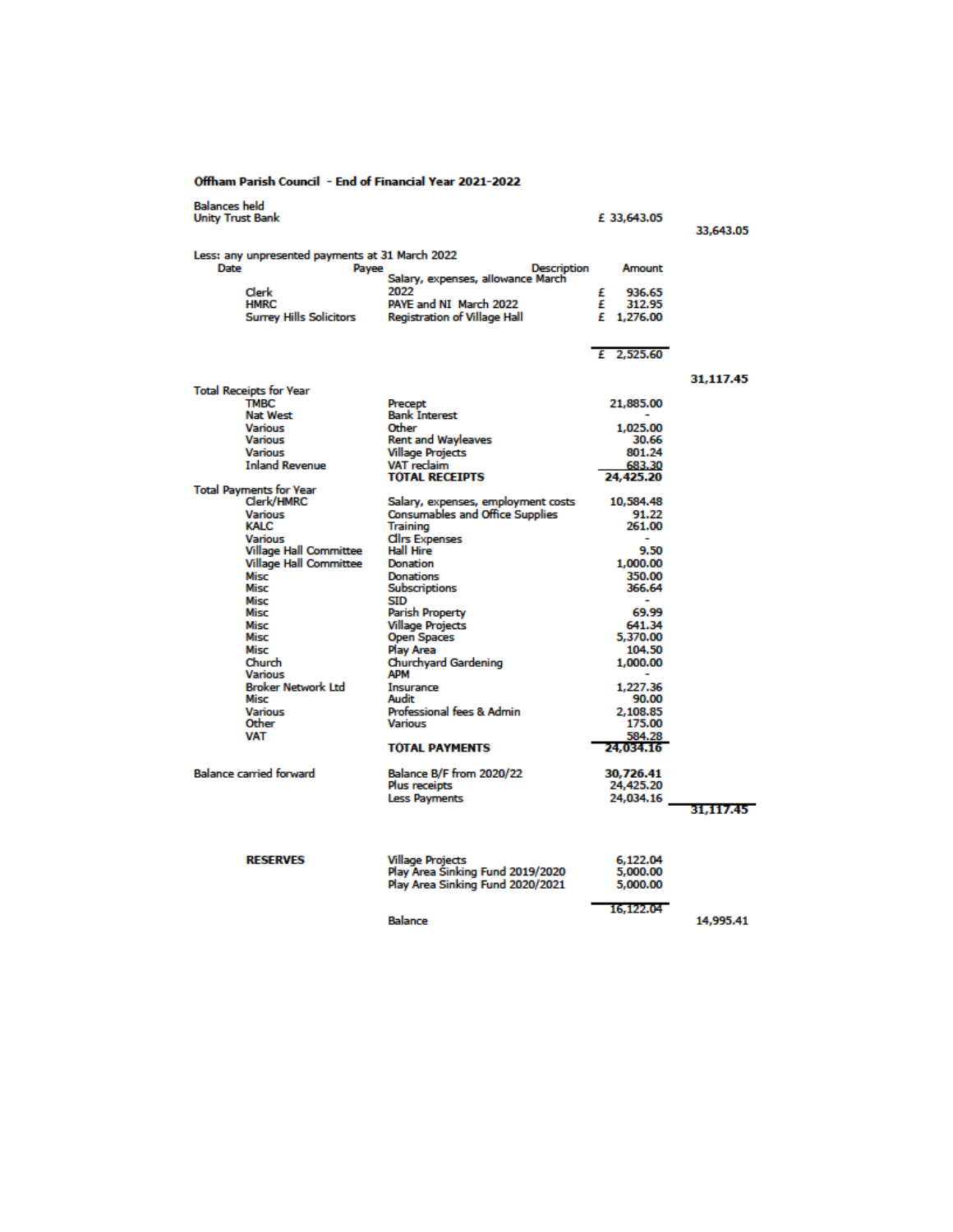| <b>Balances held</b><br><b>Unity Trust Bank</b> |                                                          |                                             | £ 33,643.05         | 33,643.05 |
|-------------------------------------------------|----------------------------------------------------------|---------------------------------------------|---------------------|-----------|
|                                                 |                                                          |                                             |                     |           |
| Date                                            | Less: any unpresented payments at 31 March 2022<br>Payee | <b>Description</b>                          | Amount              |           |
|                                                 |                                                          | Salary, expenses, allowance March           |                     |           |
|                                                 | Clerk                                                    | 2022                                        | 936.65<br>£         |           |
|                                                 | <b>HMRC</b>                                              | PAYE and NI March 2022                      | £<br>312.95         |           |
|                                                 | <b>Surrey Hills Solicitors</b>                           | <b>Registration of Village Hall</b>         | £ 1,276.00          |           |
|                                                 |                                                          |                                             |                     |           |
|                                                 |                                                          |                                             |                     |           |
|                                                 |                                                          |                                             | $E$ 2,525.60        |           |
|                                                 |                                                          |                                             |                     | 31,117.45 |
|                                                 | <b>Total Receipts for Year</b>                           |                                             |                     |           |
|                                                 | <b>TMBC</b>                                              | Precept                                     | 21,885.00           |           |
|                                                 | <b>Nat West</b>                                          | <b>Bank Interest</b>                        |                     |           |
|                                                 | Various                                                  | Other                                       | 1,025.00            |           |
|                                                 | Various                                                  | <b>Rent and Wayleaves</b>                   | 30.66               |           |
|                                                 | Various                                                  | <b>Village Projects</b>                     | 801.24              |           |
|                                                 | <b>Inland Revenue</b>                                    | <b>VAT</b> reclaim<br><b>TOTAL RECEIPTS</b> | 683.30<br>24,425.20 |           |
|                                                 | <b>Total Payments for Year</b>                           |                                             |                     |           |
|                                                 | Clerk/HMRC                                               | Salary, expenses, employment costs          | 10,584.48           |           |
|                                                 | Various                                                  | <b>Consumables and Office Supplies</b>      | 91.22               |           |
|                                                 | <b>KALC</b>                                              | Training                                    | 261.00              |           |
|                                                 | <b>Various</b>                                           | <b>Clirs Expenses</b>                       |                     |           |
|                                                 | <b>Village Hall Committee</b>                            | <b>Hall Hire</b>                            | 9.50                |           |
|                                                 | <b>Village Hall Committee</b>                            | <b>Donation</b>                             | 1,000.00            |           |
|                                                 | Misc                                                     | <b>Donations</b>                            | 350.00              |           |
|                                                 | Misc                                                     | <b>Subscriptions</b>                        | 366.64              |           |
|                                                 | Misc                                                     | SID                                         |                     |           |
|                                                 | Misc                                                     | Parish Property                             | 69.99               |           |
|                                                 | Misc                                                     | <b>Village Projects</b>                     | 641.34              |           |
|                                                 | Misc                                                     | <b>Open Spaces</b>                          | 5,370.00            |           |
|                                                 | Misc                                                     | <b>Play Area</b>                            | 104.50              |           |
|                                                 | Church<br><b>Various</b>                                 | Churchyard Gardening<br>APM                 | 1,000.00            |           |
|                                                 | <b>Broker Network Ltd</b>                                | Insurance                                   | 1,227.36            |           |
|                                                 | Misc                                                     | Audit                                       | 90.00               |           |
|                                                 | <b>Various</b>                                           | Professional fees & Admin                   | 2,108.85            |           |
|                                                 | Other                                                    | Various                                     | 175.00              |           |
|                                                 | <b>VAT</b>                                               |                                             | 584.28              |           |
|                                                 |                                                          | <b>TOTAL PAYMENTS</b>                       | 24,034.16           |           |
|                                                 | <b>Balance carried forward</b>                           | Balance B/F from 2020/22                    | 30,726.41           |           |
|                                                 |                                                          | Plus receipts                               | 24,425.20           |           |
|                                                 |                                                          | <b>Less Payments</b>                        | 24,034.16           |           |
|                                                 |                                                          |                                             |                     | 31,117.45 |
|                                                 |                                                          |                                             |                     |           |
|                                                 |                                                          |                                             |                     |           |
|                                                 | <b>RESERVES</b>                                          | <b>Village Projects</b>                     | 6,122.04            |           |
|                                                 |                                                          | Play Area Sinking Fund 2019/2020            | 5,000.00            |           |
|                                                 |                                                          | Play Area Sinking Fund 2020/2021            | 5,000.00            |           |
|                                                 |                                                          |                                             |                     |           |
|                                                 |                                                          |                                             | 16,122.04           |           |
|                                                 |                                                          | <b>Balance</b>                              |                     | 14,995.41 |

#### Offham Parish Council - End of Financial Year 2021-2022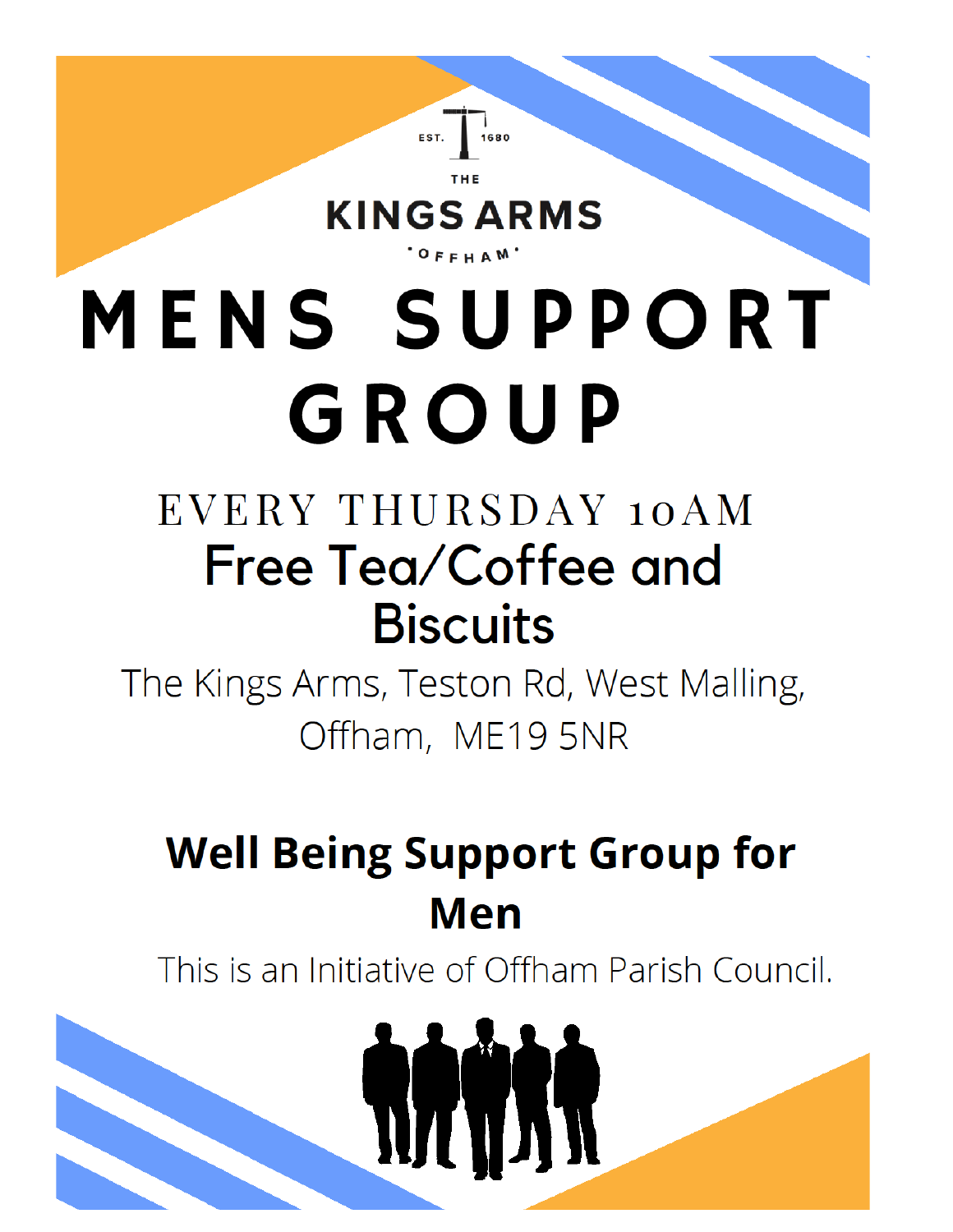

### KINGS ARMS

# <sup>' O</sup> F F H A <sup>M</sup> MENS SUPPORT GROUP

## EVERY THURSDAY 10AM Free Tea/Coffee and **Biscuits**

The Kings Arms, Teston Rd, West Malling, Offham, ME19 5NR

### **Well Being Support Group for** Men

This is an Initiative of Offham Parish Council.